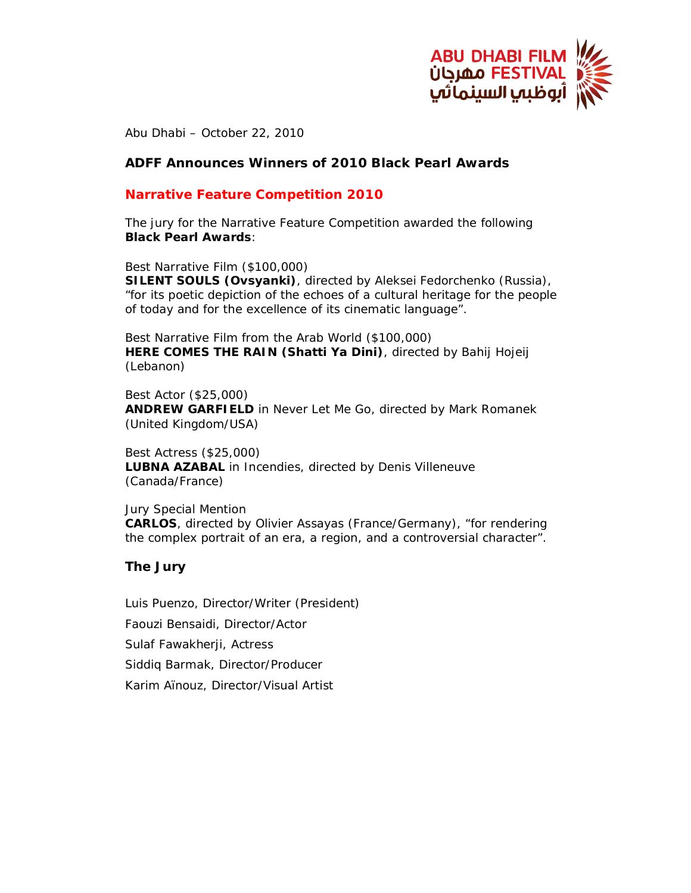

Abu Dhabi – October 22, 2010

# **ADFF Announces Winners of 2010 Black Pearl Awards**

# **Narrative Feature Competition 2010**

The jury for the Narrative Feature Competition awarded the following **Black Pearl Awards**:

Best Narrative Film (\$100,000)

*SILENT SOULS (Ovsyanki)*, directed by Aleksei Fedorchenko (Russia), "for its poetic depiction of the echoes of a cultural heritage for the people of today and for the excellence of its cinematic language".

Best Narrative Film from the Arab World (\$100,000) *HERE COMES THE RAIN (Shatti Ya Dini)*, directed by Bahij Hojeij (Lebanon)

Best Actor (\$25,000) **ANDREW GARFIELD** in *Never Let Me Go*, directed by Mark Romanek (United Kingdom/USA)

Best Actress (\$25,000) **LUBNA AZABAL** in *Incendies*, directed by Denis Villeneuve (Canada/France)

Jury Special Mention *CARLOS*, directed by Olivier Assayas (France/Germany), "for rendering the complex portrait of an era, a region, and a controversial character".

#### **The Jury**

Luis Puenzo, Director/Writer (President) Faouzi Bensaidi, Director/Actor Sulaf Fawakherji, Actress Siddiq Barmak, Director/Producer Karim Aïnouz, Director/Visual Artist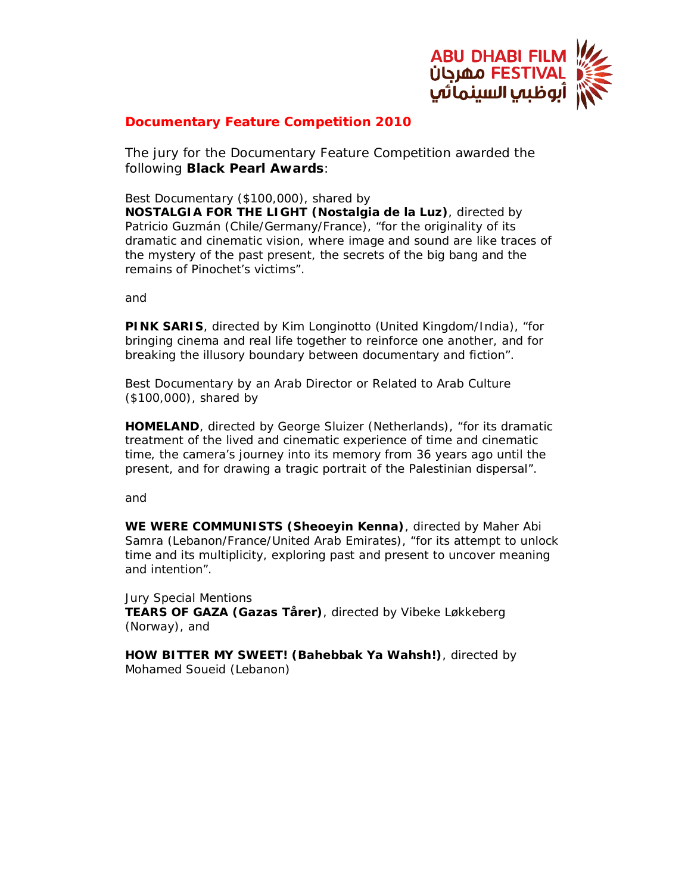

# **Documentary Feature Competition 2010**

The jury for the Documentary Feature Competition awarded the following **Black Pearl Awards**:

Best Documentary (\$100,000), shared by

*NOSTALGIA FOR THE LIGHT (Nostalgia de la Luz)*, directed by Patricio Guzmán (Chile/Germany/France), "for the originality of its dramatic and cinematic vision, where image and sound are like traces of the mystery of the past present, the secrets of the big bang and the remains of Pinochet's victims".

and

*PINK SARIS*, directed by Kim Longinotto (United Kingdom/India), "for bringing cinema and real life together to reinforce one another, and for breaking the illusory boundary between documentary and fiction".

Best Documentary by an Arab Director or Related to Arab Culture (\$100,000), shared by

**HOMELAND**, directed by George Sluizer (Netherlands), "for its dramatic treatment of the lived and cinematic experience of time and cinematic time, the camera's journey into its memory from 36 years ago until the present, and for drawing a tragic portrait of the Palestinian dispersal".

and

*WE WERE COMMUNISTS (Sheoeyin Kenna)*, directed by Maher Abi Samra (Lebanon/France/United Arab Emirates), "for its attempt to unlock time and its multiplicity, exploring past and present to uncover meaning and intention".

Jury Special Mentions *TEARS OF GAZA (Gazas Tårer)*, directed by Vibeke Løkkeberg (Norway), and

*HOW BITTER MY SWEET! (Bahebbak Ya Wahsh!), directed by Mohamed Soueid (Lebanon)*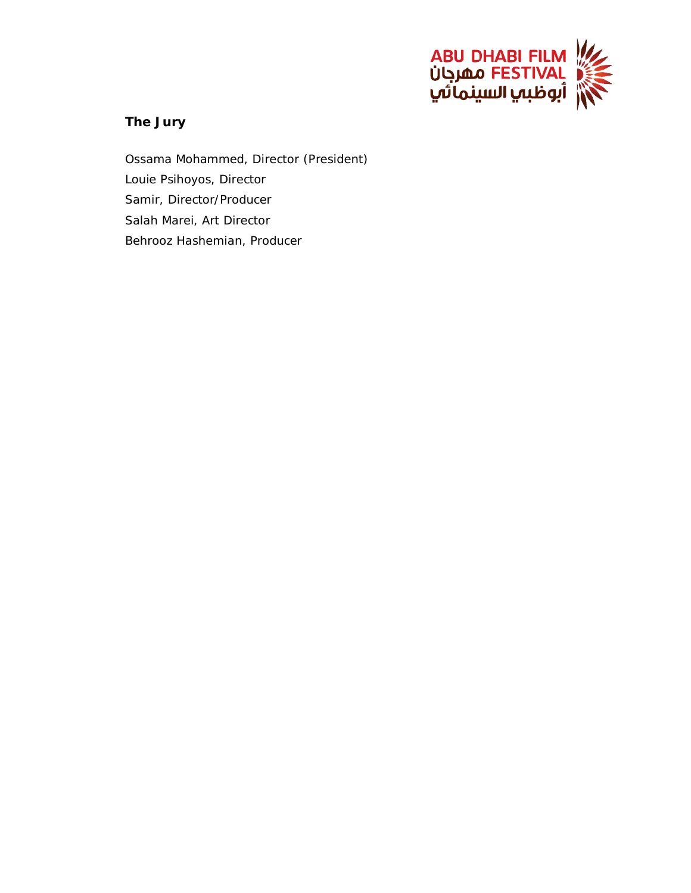

# **The Jury**

Ossama Mohammed, Director (President) Louie Psihoyos, Director Samir, Director/Producer Salah Marei, Art Director Behrooz Hashemian, Producer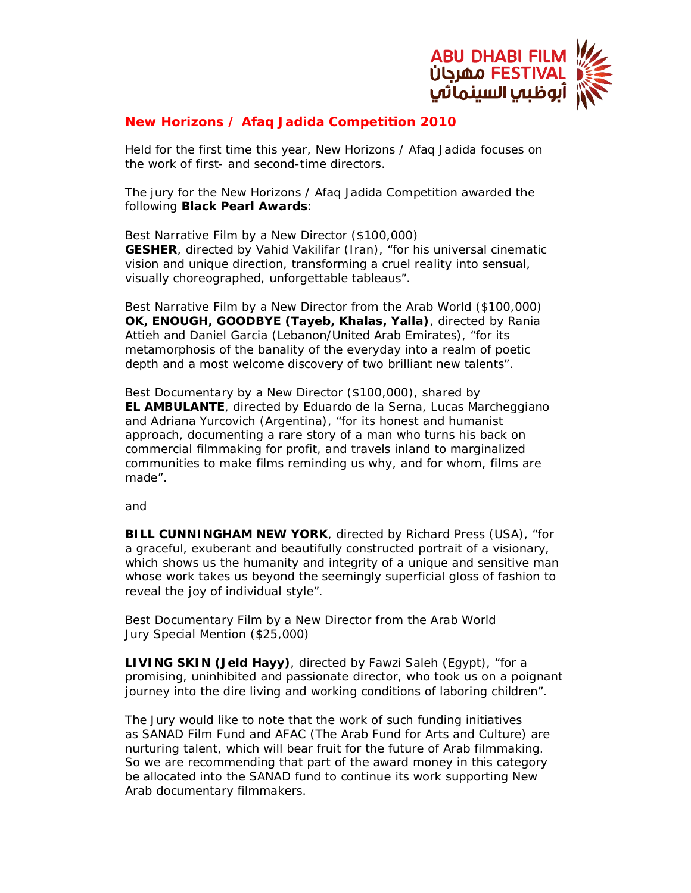

# **New Horizons / Afaq Jadida Competition 2010**

Held for the first time this year, New Horizons / Afaq Jadida focuses on the work of first- and second-time directors.

The jury for the New Horizons / Afaq Jadida Competition awarded the following **Black Pearl Awards**:

Best Narrative Film by a New Director (\$100,000) *GESHER*, directed by Vahid Vakilifar (Iran), "for his universal cinematic vision and unique direction, transforming a cruel reality into sensual, visually choreographed, unforgettable tableaus".

Best Narrative Film by a New Director from the Arab World (\$100,000) *OK, ENOUGH, GOODBYE (Tayeb, Khalas, Yalla)*, directed by Rania Attieh and Daniel Garcia (Lebanon/United Arab Emirates), "for its metamorphosis of the banality of the everyday into a realm of poetic depth and a most welcome discovery of two brilliant new talents".

Best Documentary by a New Director (\$100,000), shared by *EL AMBULANTE*, directed by Eduardo de la Serna, Lucas Marcheggiano and Adriana Yurcovich (Argentina), "for its honest and humanist approach, documenting a rare story of a man who turns his back on commercial filmmaking for profit, and travels inland to marginalized communities to make films reminding us why, and for whom, films are made".

and

*BILL CUNNINGHAM NEW YORK*, directed by Richard Press (USA), "for a graceful, exuberant and beautifully constructed portrait of a visionary, which shows us the humanity and integrity of a unique and sensitive man whose work takes us beyond the seemingly superficial gloss of fashion to reveal the joy of individual style".

Best Documentary Film by a New Director from the Arab World Jury Special Mention (\$25,000)

*LIVING SKIN (Jeld Hayy)*, directed by Fawzi Saleh (Egypt), "for a promising, uninhibited and passionate director, who took us on a poignant journey into the dire living and working conditions of laboring children".

The Jury would like to note that the work of such funding initiatives as SANAD Film Fund and AFAC (The Arab Fund for Arts and Culture) are nurturing talent, which will bear fruit for the future of Arab filmmaking. So we are recommending that part of the award money in this category be allocated into the SANAD fund to continue its work supporting New Arab documentary filmmakers.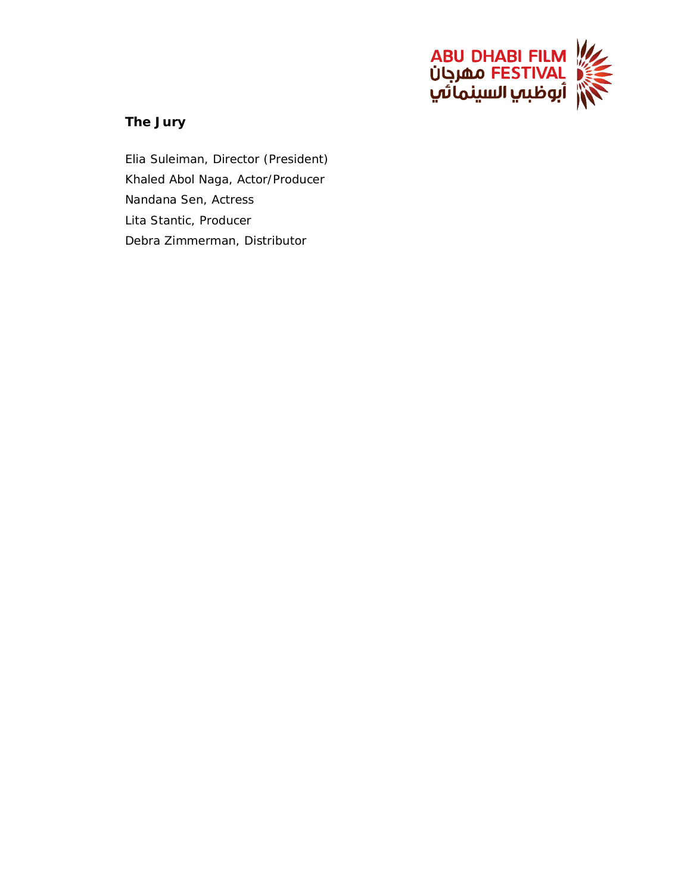

# **The Jury**

Elia Suleiman, Director (President) Khaled Abol Naga, Actor/Producer Nandana Sen, Actress Lita Stantic, Producer Debra Zimmerman, Distributor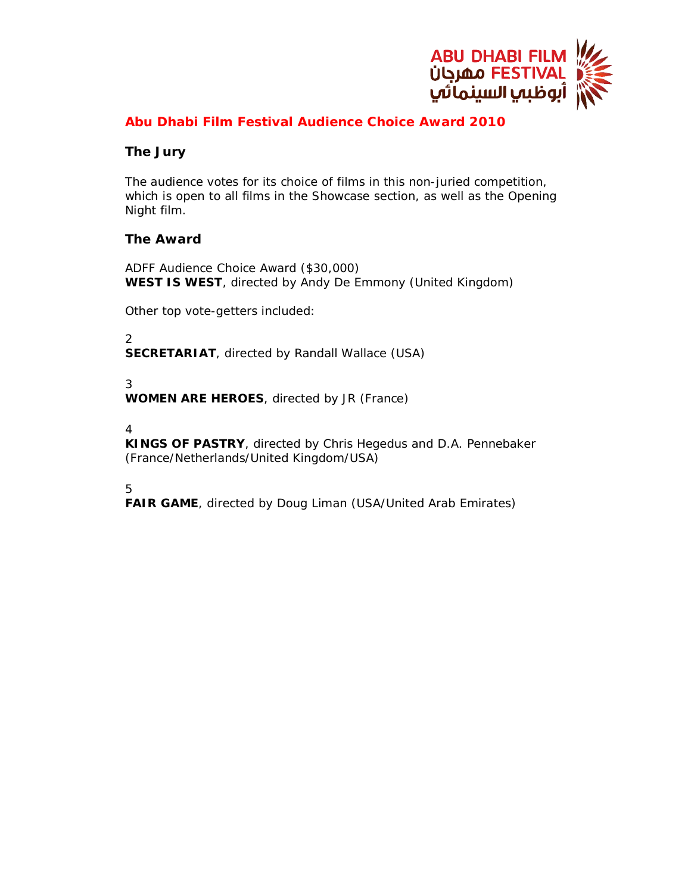

# **Abu Dhabi Film Festival Audience Choice Award 2010**

# **The Jury**

The audience votes for its choice of films in this non-juried competition, which is open to all films in the Showcase section, as well as the Opening Night film.

# **The Award**

ADFF Audience Choice Award (\$30,000) *WEST IS WEST*, directed by Andy De Emmony (United Kingdom)

Other top vote-getters included:

2 *SECRETARIAT*, directed by Randall Wallace (USA)

3

*WOMEN ARE HEROES*, directed by JR (France)

4

*KINGS OF PASTRY*, directed by Chris Hegedus and D.A. Pennebaker (France/Netherlands/United Kingdom/USA)

5

**FAIR GAME**, directed by Doug Liman (USA/United Arab Emirates)